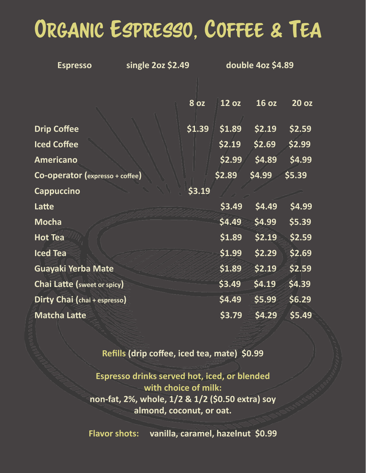# ORGANIC ESPRESSO, COFFEE & TEA

| <b>Espresso</b>                        | single 2oz \$2.49 | double 4oz \$4.89 |        |        |
|----------------------------------------|-------------------|-------------------|--------|--------|
|                                        |                   |                   |        |        |
|                                        | $8$ <sub>oz</sub> | 12 oz             | 16 oz  | 20 oz  |
|                                        |                   |                   |        |        |
| <b>Drip Coffee</b>                     | \$1.39            | \$1.89            | \$2.19 | \$2.59 |
| <b>Iced Coffee</b>                     |                   | \$2.19            | \$2.69 | \$2.99 |
| <b>Americano</b>                       |                   | \$2.99            | \$4.89 | \$4.99 |
| <b>Co-operator (expresso + coffee)</b> |                   | \$2.89            | \$4.99 | \$5.39 |
| <b>Cappuccino</b>                      | \$3.19            |                   |        |        |
| Latte                                  |                   | \$3.49            | \$4.49 | \$4.99 |
| <b>Mocha</b>                           |                   | \$4.49            | \$4.99 | \$5.39 |
| <b>Hot Tea</b>                         |                   | \$1.89            | \$2.19 | \$2.59 |
| <b>Iced Tea</b>                        |                   | \$1.99            | \$2.29 | \$2.69 |
| Guayaki Yerba Mate                     |                   | \$1.89            | \$2.19 | \$2.59 |
| <b>Chai Latte (sweet or spicy)</b>     |                   | \$3.49            | \$4.19 | \$4.39 |
| Dirty Chai (chai + espresso)           |                   | \$4.49            | \$5.99 | \$6.29 |
| Matcha Latte                           |                   | \$3.79            | \$4.29 | \$5.49 |

### **Refills (drip coffee, iced tea, mate) \$0.99**

**Espresso drinks served hot, iced, or blended with choice of milk: non-fat, 2%, whole, 1/2 & 1/2 (\$0.50 extra) soy almond, coconut, or oat.**

**Flavor shots: vanilla, caramel, hazelnut \$0.99**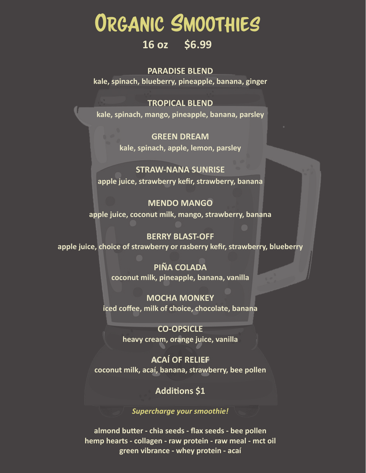## ORGANIC SMOothies **16 oz \$6.99**

**PARADISE BLEND kale, spinach, blueberry, pineapple, banana, ginger**

**TROPICAL BLEND kale, spinach, mango, pineapple, banana, parsley**

> **GREEN DREAM kale, spinach, apple, lemon, parsley**

**STRAW-NANA SUNRISE apple juice, strawberry kefir, strawberry, banana**

**MENDO MANGO apple juice, coconut milk, mango, strawberry, banana**

**BERRY BLAST-OFF apple juice, choice of strawberry or rasberry kefir, strawberry, blueberry**

> **PIÑA COLADA coconut milk, pineapple, banana, vanilla**

**MOCHA MONKEY iced coffee, milk of choice, chocolate, banana**

> **CO-OPSICLE heavy cream, orange juice, vanilla**

**ACAÍ OF RELIEF coconut milk, acaí, banana, strawberry, bee pollen**

**Additions \$1**

*Supercharge your smoothie!*

**almond butter - chia seeds - flax seeds - bee pollen hemp hearts - collagen - raw protein - raw meal - mct oil green vibrance - whey protein - acaí**